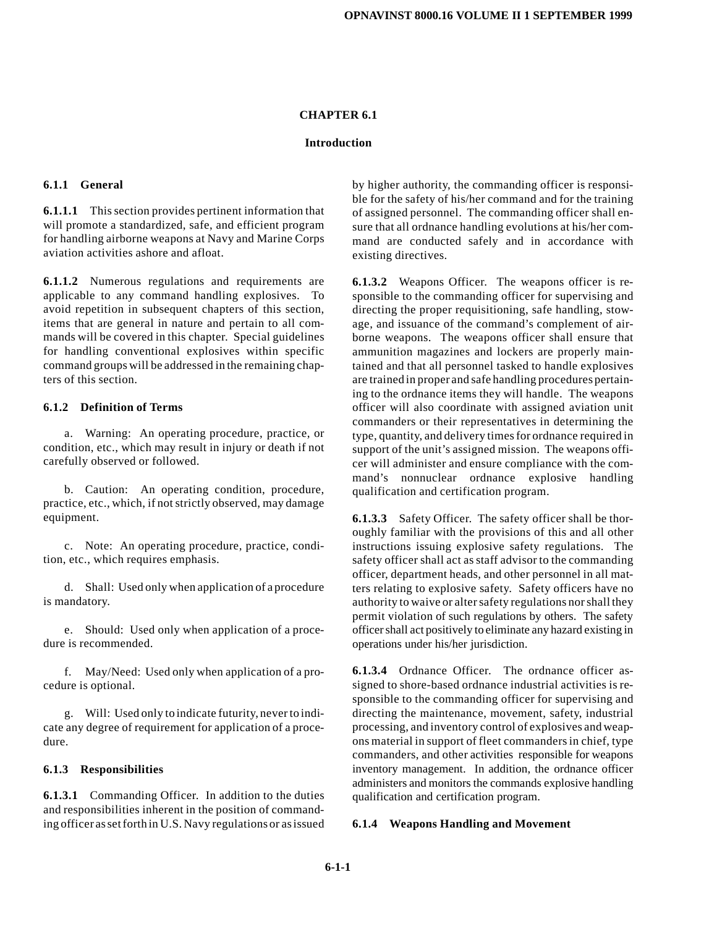#### **CHAPTER 6.1**

#### **Introduction**

#### **6.1.1 General**

**6.1.1.1** This section provides pertinent information that will promote a standardized, safe, and efficient program for handling airborne weapons at Navy and Marine Corps aviation activities ashore and afloat.

**6.1.1.2** Numerous regulations and requirements are applicable to any command handling explosives. To avoid repetition in subsequent chapters of this section, items that are general in nature and pertain to all commands will be covered in this chapter. Special guidelines for handling conventional explosives within specific command groups will be addressed in the remaining chapters of this section.

#### **6.1.2 Definition of Terms**

a. Warning: An operating procedure, practice, or condition, etc., which may result in injury or death if not carefully observed or followed.

b. Caution: An operating condition, procedure, practice, etc., which, if not strictly observed, may damage equipment.

c. Note: An operating procedure, practice, condition, etc., which requires emphasis.

d. Shall: Used only when application of a procedure is mandatory.

e. Should: Used only when application of a procedure is recommended.

f. May/Need: Used only when application of a procedure is optional.

g. Will: Used only to indicate futurity, never to indicate any degree of requirement for application of a procedure.

#### **6.1.3 Responsibilities**

**6.1.3.1** Commanding Officer. In addition to the duties and responsibilities inherent in the position of commanding officer as set forth in U.S. Navy regulations or as issued

by higher authority, the commanding officer is responsible for the safety of his/her command and for the training of assigned personnel. The commanding officer shall ensure that all ordnance handling evolutions at his/her command are conducted safely and in accordance with existing directives.

**6.1.3.2** Weapons Officer. The weapons officer is responsible to the commanding officer for supervising and directing the proper requisitioning, safe handling, stowage, and issuance of the command's complement of airborne weapons. The weapons officer shall ensure that ammunition magazines and lockers are properly maintained and that all personnel tasked to handle explosives are trained in proper and safe handling procedures pertaining to the ordnance items they will handle. The weapons officer will also coordinate with assigned aviation unit commanders or their representatives in determining the type, quantity, and delivery times for ordnance required in support of the unit's assigned mission. The weapons officer will administer and ensure compliance with the command's nonnuclear ordnance explosive handling qualification and certification program.

**6.1.3.3** Safety Officer. The safety officer shall be thoroughly familiar with the provisions of this and all other instructions issuing explosive safety regulations. The safety officer shall act as staff advisor to the commanding officer, department heads, and other personnel in all matters relating to explosive safety. Safety officers have no authority to waive or alter safety regulations nor shall they permit violation of such regulations by others. The safety officer shall act positively to eliminate any hazard existing in operations under his/her jurisdiction.

**6.1.3.4** Ordnance Officer. The ordnance officer assigned to shore-based ordnance industrial activities is responsible to the commanding officer for supervising and directing the maintenance, movement, safety, industrial processing, and inventory control of explosives and weapons material in support of fleet commanders in chief, type commanders, and other activities responsible for weapons inventory management. In addition, the ordnance officer administers and monitors the commands explosive handling qualification and certification program.

#### **6.1.4 Weapons Handling and Movement**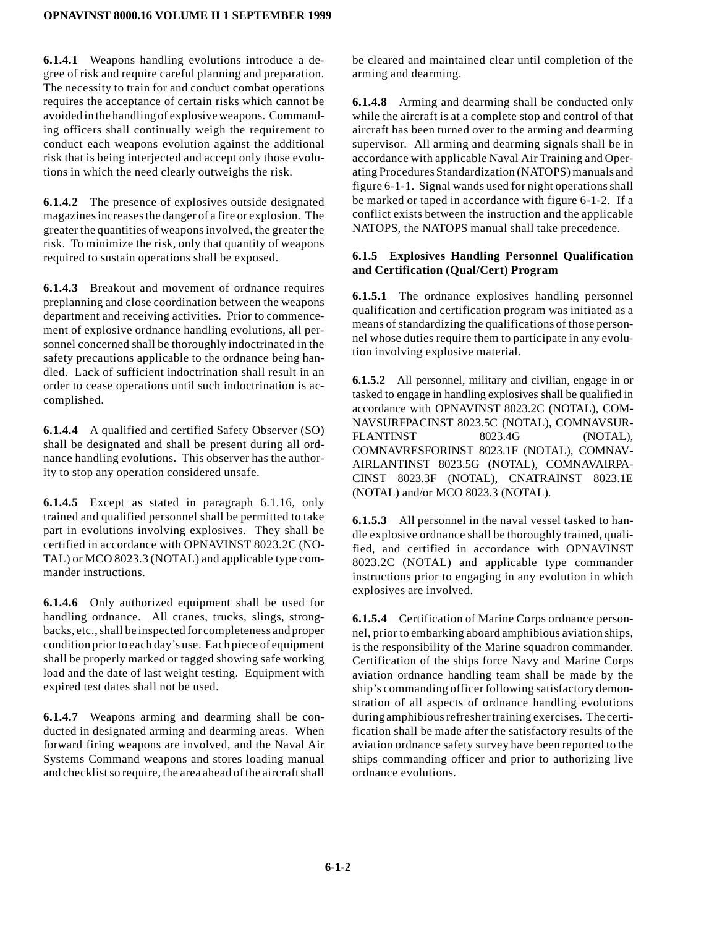**6.1.4.1** Weapons handling evolutions introduce a degree of risk and require careful planning and preparation. The necessity to train for and conduct combat operations requires the acceptance of certain risks which cannot be avoided in the handling of explosive weapons. Commanding officers shall continually weigh the requirement to conduct each weapons evolution against the additional risk that is being interjected and accept only those evolutions in which the need clearly outweighs the risk.

**6.1.4.2** The presence of explosives outside designated magazines increases the danger of a fire or explosion. The greater the quantities of weapons involved, the greater the risk. To minimize the risk, only that quantity of weapons required to sustain operations shall be exposed.

**6.1.4.3** Breakout and movement of ordnance requires preplanning and close coordination between the weapons department and receiving activities. Prior to commencement of explosive ordnance handling evolutions, all personnel concerned shall be thoroughly indoctrinated in the safety precautions applicable to the ordnance being handled. Lack of sufficient indoctrination shall result in an order to cease operations until such indoctrination is accomplished.

**6.1.4.4** A qualified and certified Safety Observer (SO) shall be designated and shall be present during all ordnance handling evolutions. This observer has the authority to stop any operation considered unsafe.

**6.1.4.5** Except as stated in paragraph 6.1.16, only trained and qualified personnel shall be permitted to take part in evolutions involving explosives. They shall be certified in accordance with OPNAVINST 8023.2C (NO-TAL) or MCO 8023.3 (NOTAL) and applicable type commander instructions.

**6.1.4.6** Only authorized equipment shall be used for handling ordnance. All cranes, trucks, slings, strongbacks, etc., shall be inspected for completeness and proper condition prior to each day's use. Each piece of equipment shall be properly marked or tagged showing safe working load and the date of last weight testing. Equipment with expired test dates shall not be used.

**6.1.4.7** Weapons arming and dearming shall be conducted in designated arming and dearming areas. When forward firing weapons are involved, and the Naval Air Systems Command weapons and stores loading manual and checklist so require, the area ahead of the aircraft shall

be cleared and maintained clear until completion of the arming and dearming.

**6.1.4.8** Arming and dearming shall be conducted only while the aircraft is at a complete stop and control of that aircraft has been turned over to the arming and dearming supervisor. All arming and dearming signals shall be in accordance with applicable Naval Air Training and Operating Procedures Standardization (NATOPS) manuals and figure 6-1-1. Signal wands used for night operations shall be marked or taped in accordance with figure 6-1-2. If a conflict exists between the instruction and the applicable NATOPS, the NATOPS manual shall take precedence.

# **6.1.5 Explosives Handling Personnel Qualification and Certification (Qual/Cert) Program**

**6.1.5.1** The ordnance explosives handling personnel qualification and certification program was initiated as a means of standardizing the qualifications of those personnel whose duties require them to participate in any evolution involving explosive material.

**6.1.5.2** All personnel, military and civilian, engage in or tasked to engage in handling explosives shall be qualified in accordance with OPNAVINST 8023.2C (NOTAL), COM-NAVSURFPACINST 8023.5C (NOTAL), COMNAVSUR-FLANTINST 8023.4G (NOTAL), COMNAVRESFORINST 8023.1F (NOTAL), COMNAV-AIRLANTINST 8023.5G (NOTAL), COMNAVAIRPA-CINST 8023.3F (NOTAL), CNATRAINST 8023.1E (NOTAL) and/or MCO 8023.3 (NOTAL).

**6.1.5.3** All personnel in the naval vessel tasked to handle explosive ordnance shall be thoroughly trained, qualified, and certified in accordance with OPNAVINST 8023.2C (NOTAL) and applicable type commander instructions prior to engaging in any evolution in which explosives are involved.

**6.1.5.4** Certification of Marine Corps ordnance personnel, prior to embarking aboard amphibious aviation ships, is the responsibility of the Marine squadron commander. Certification of the ships force Navy and Marine Corps aviation ordnance handling team shall be made by the ship's commanding officer following satisfactory demonstration of all aspects of ordnance handling evolutions during amphibious refresher training exercises. The certification shall be made after the satisfactory results of the aviation ordnance safety survey have been reported to the ships commanding officer and prior to authorizing live ordnance evolutions.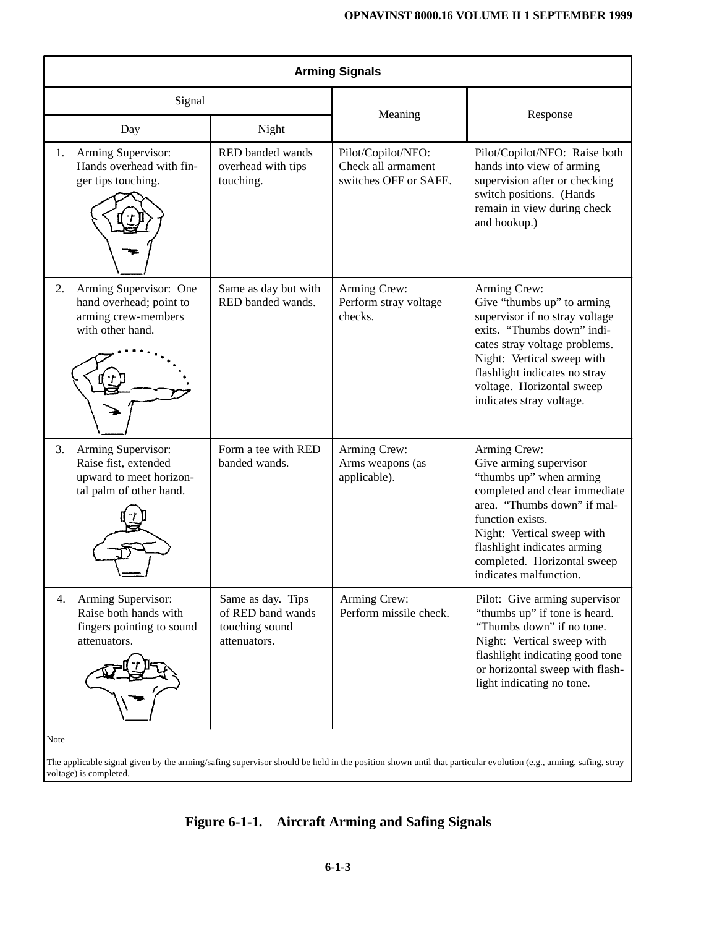| <b>Arming Signals</b>                                                                                  |                                                                          |                                                                   |                                                                                                                                                                                                                                                                             |  |  |
|--------------------------------------------------------------------------------------------------------|--------------------------------------------------------------------------|-------------------------------------------------------------------|-----------------------------------------------------------------------------------------------------------------------------------------------------------------------------------------------------------------------------------------------------------------------------|--|--|
| Signal                                                                                                 |                                                                          | Meaning                                                           | Response                                                                                                                                                                                                                                                                    |  |  |
| Day                                                                                                    | Night                                                                    |                                                                   |                                                                                                                                                                                                                                                                             |  |  |
| Arming Supervisor:<br>1.<br>Hands overhead with fin-<br>ger tips touching.                             | RED banded wands<br>overhead with tips<br>touching.                      | Pilot/Copilot/NFO:<br>Check all armament<br>switches OFF or SAFE. | Pilot/Copilot/NFO: Raise both<br>hands into view of arming<br>supervision after or checking<br>switch positions. (Hands<br>remain in view during check<br>and hookup.)                                                                                                      |  |  |
| Arming Supervisor: One<br>2.<br>hand overhead; point to<br>arming crew-members<br>with other hand.     | Same as day but with<br>RED banded wands.                                | Arming Crew:<br>Perform stray voltage<br>checks.                  | Arming Crew:<br>Give "thumbs up" to arming<br>supervisor if no stray voltage<br>exits. "Thumbs down" indi-<br>cates stray voltage problems.<br>Night: Vertical sweep with<br>flashlight indicates no stray<br>voltage. Horizontal sweep<br>indicates stray voltage.         |  |  |
| Arming Supervisor:<br>3.<br>Raise fist, extended<br>upward to meet horizon-<br>tal palm of other hand. | Form a tee with RED<br>banded wands.                                     | Arming Crew:<br>Arms weapons (as<br>applicable).                  | Arming Crew:<br>Give arming supervisor<br>"thumbs up" when arming<br>completed and clear immediate<br>area. "Thumbs down" if mal-<br>function exists.<br>Night: Vertical sweep with<br>flashlight indicates arming<br>completed. Horizontal sweep<br>indicates malfunction. |  |  |
| Arming Supervisor:<br>4.<br>Raise both hands with<br>fingers pointing to sound<br>attenuators.         | Same as day. Tips<br>of RED band wands<br>touching sound<br>attenuators. | Arming Crew:<br>Perform missile check.                            | Pilot: Give arming supervisor<br>"thumbs up" if tone is heard.<br>"Thumbs down" if no tone.<br>Night: Vertical sweep with<br>flashlight indicating good tone<br>or horizontal sweep with flash-<br>light indicating no tone.                                                |  |  |
| Note                                                                                                   |                                                                          |                                                                   |                                                                                                                                                                                                                                                                             |  |  |

The applicable signal given by the arming/safing supervisor should be held in the position shown until that particular evolution (e.g., arming, safing, stray voltage) is completed.

# **Figure 6-1-1. Aircraft Arming and Safing Signals**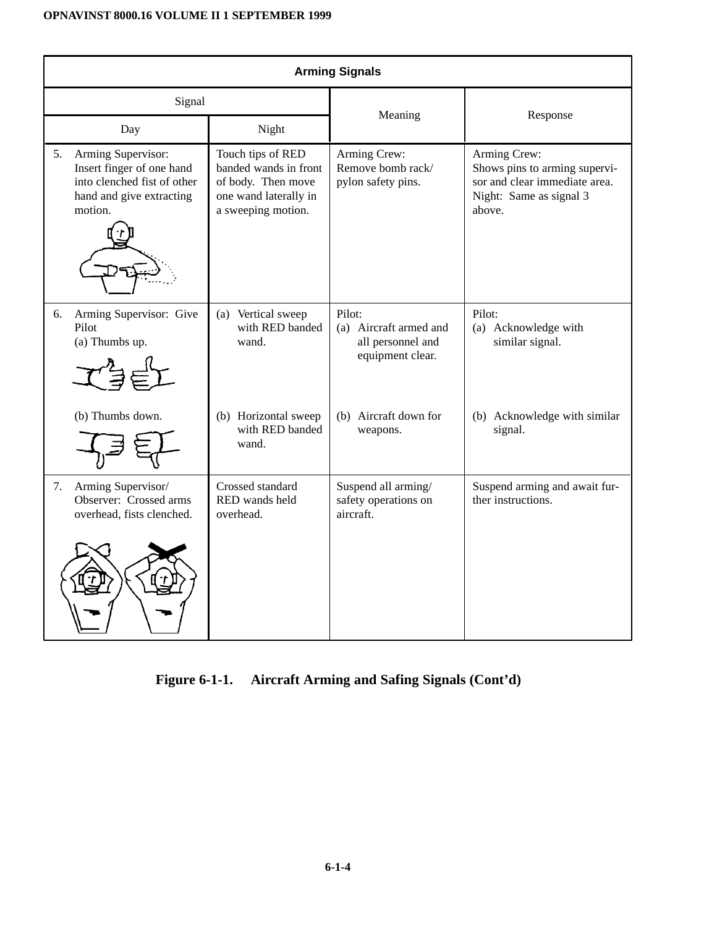| <b>Arming Signals</b> |                                                                                                                       |                                                                                                                 |                                                                           |                                                                                                                     |  |
|-----------------------|-----------------------------------------------------------------------------------------------------------------------|-----------------------------------------------------------------------------------------------------------------|---------------------------------------------------------------------------|---------------------------------------------------------------------------------------------------------------------|--|
| Signal                |                                                                                                                       | Meaning                                                                                                         |                                                                           |                                                                                                                     |  |
|                       | Day                                                                                                                   | Night                                                                                                           |                                                                           | Response                                                                                                            |  |
| 5.                    | Arming Supervisor:<br>Insert finger of one hand<br>into clenched fist of other<br>hand and give extracting<br>motion. | Touch tips of RED<br>banded wands in front<br>of body. Then move<br>one wand laterally in<br>a sweeping motion. | Arming Crew:<br>Remove bomb rack/<br>pylon safety pins.                   | Arming Crew:<br>Shows pins to arming supervi-<br>sor and clear immediate area.<br>Night: Same as signal 3<br>above. |  |
| 6.                    | Arming Supervisor: Give<br>Pilot<br>(a) Thumbs up.                                                                    | (a) Vertical sweep<br>with RED banded<br>wand.                                                                  | Pilot:<br>(a) Aircraft armed and<br>all personnel and<br>equipment clear. | Pilot:<br>(a) Acknowledge with<br>similar signal.                                                                   |  |
|                       | (b) Thumbs down.                                                                                                      | (b) Horizontal sweep<br>with RED banded<br>wand.                                                                | (b) Aircraft down for<br>weapons.                                         | (b) Acknowledge with similar<br>signal.                                                                             |  |
| 7.                    | Arming Supervisor/<br>Observer: Crossed arms<br>overhead, fists clenched.                                             | Crossed standard<br>RED wands held<br>overhead.                                                                 | Suspend all arming/<br>safety operations on<br>aircraft.                  | Suspend arming and await fur-<br>ther instructions.                                                                 |  |

# **Figure 6-1-1. Aircraft Arming and Safing Signals (Cont'd)**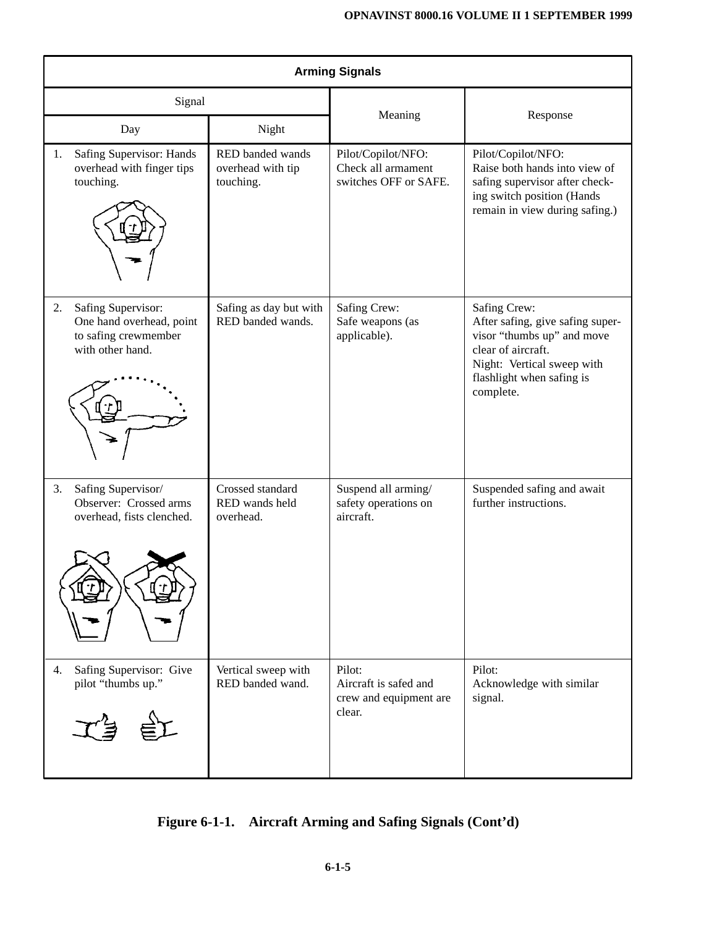| <b>Arming Signals</b>                                                                            |                                                             |                                                                     |                                                                                                                                                                              |  |  |  |
|--------------------------------------------------------------------------------------------------|-------------------------------------------------------------|---------------------------------------------------------------------|------------------------------------------------------------------------------------------------------------------------------------------------------------------------------|--|--|--|
| Signal                                                                                           |                                                             | Meaning                                                             | Response<br>Pilot/Copilot/NFO:<br>Raise both hands into view of<br>safing supervisor after check-<br>ing switch position (Hands<br>remain in view during safing.)            |  |  |  |
| Day<br>Safing Supervisor: Hands<br>1.<br>overhead with finger tips<br>touching.                  | Night<br>RED banded wands<br>overhead with tip<br>touching. | Pilot/Copilot/NFO:<br>Check all armament<br>switches OFF or SAFE.   |                                                                                                                                                                              |  |  |  |
| Safing Supervisor:<br>2.<br>One hand overhead, point<br>to safing crewmember<br>with other hand. | Safing as day but with<br>RED banded wands.                 | Safing Crew:<br>Safe weapons (as<br>applicable).                    | Safing Crew:<br>After safing, give safing super-<br>visor "thumbs up" and move<br>clear of aircraft.<br>Night: Vertical sweep with<br>flashlight when safing is<br>complete. |  |  |  |
| Safing Supervisor/<br>3.<br>Observer: Crossed arms<br>overhead, fists clenched.                  | Crossed standard<br>RED wands held<br>overhead.             | Suspend all arming/<br>safety operations on<br>aircraft.            | Suspended safing and await<br>further instructions.                                                                                                                          |  |  |  |
| Safing Supervisor: Give<br>4.<br>pilot "thumbs up."                                              | Vertical sweep with<br>RED banded wand.                     | Pilot:<br>Aircraft is safed and<br>crew and equipment are<br>clear. | Pilot:<br>Acknowledge with similar<br>signal.                                                                                                                                |  |  |  |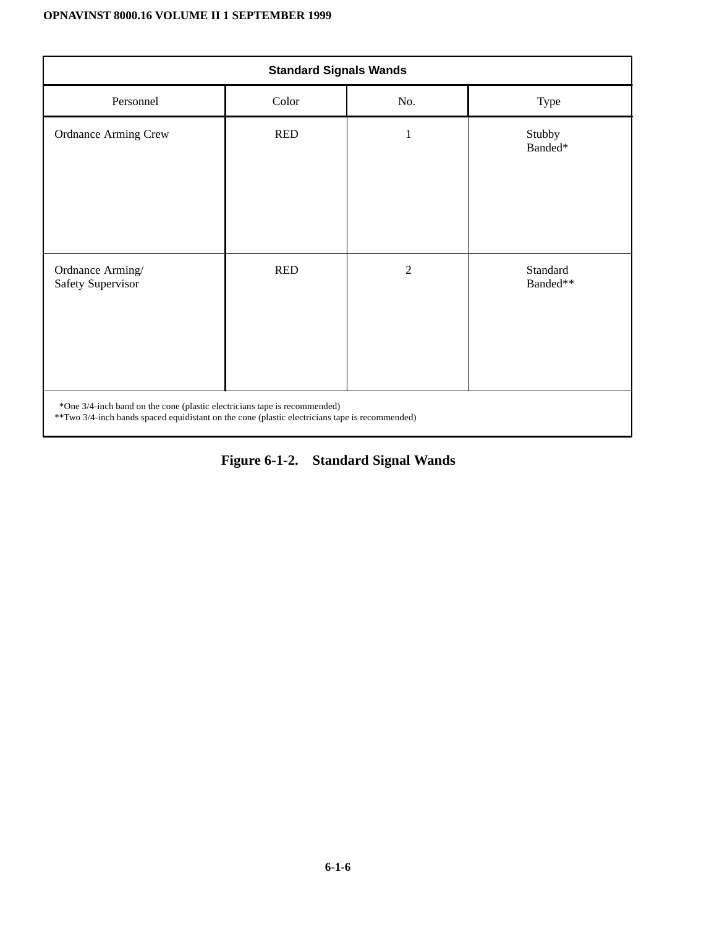| <b>Standard Signals Wands</b>                                                                                                                                                |            |                |                      |  |
|------------------------------------------------------------------------------------------------------------------------------------------------------------------------------|------------|----------------|----------------------|--|
| Personnel                                                                                                                                                                    | Color      | No.            | Type                 |  |
| <b>Ordnance Arming Crew</b>                                                                                                                                                  | <b>RED</b> | 1              | Stubby<br>Banded*    |  |
| Ordnance Arming/<br>Safety Supervisor                                                                                                                                        | <b>RED</b> | $\overline{2}$ | Standard<br>Banded** |  |
| *One 3/4-inch band on the cone (plastic electricians tape is recommended)<br>** Two 3/4-inch bands spaced equidistant on the cone (plastic electricians tape is recommended) |            |                |                      |  |

**Figure 6-1-2. Standard Signal Wands**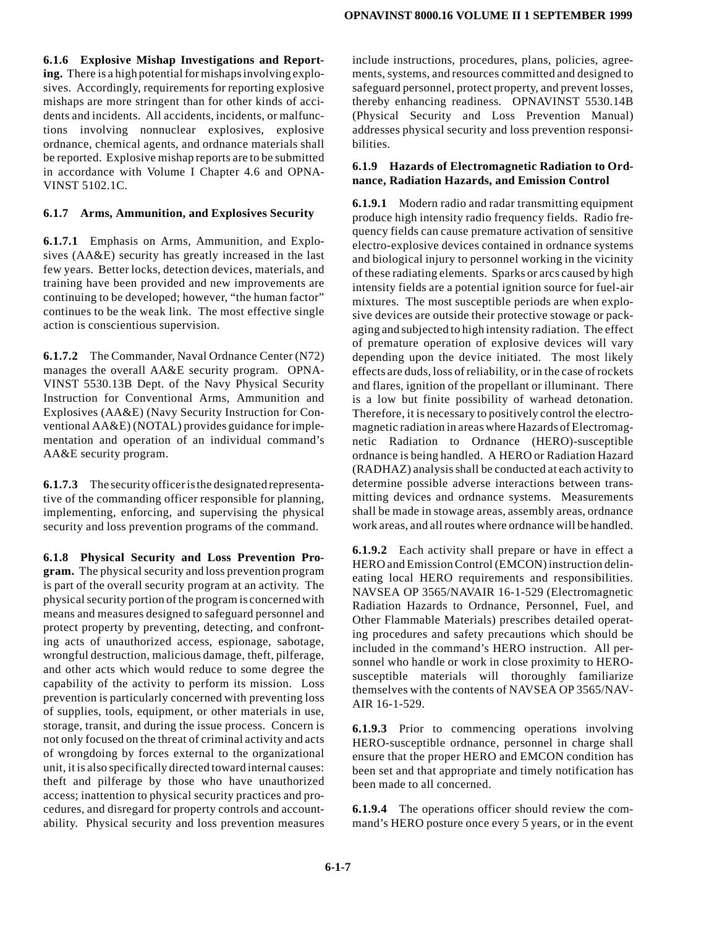**6.1.6 Explosive Mishap Investigations and Reporting.** There is a high potential for mishaps involving explosives. Accordingly, requirements for reporting explosive mishaps are more stringent than for other kinds of accidents and incidents. All accidents, incidents, or malfunctions involving nonnuclear explosives, explosive ordnance, chemical agents, and ordnance materials shall be reported. Explosive mishap reports are to be submitted in accordance with Volume I Chapter 4.6 and OPNA-VINST 5102.1C.

#### **6.1.7 Arms, Ammunition, and Explosives Security**

**6.1.7.1** Emphasis on Arms, Ammunition, and Explosives (AA&E) security has greatly increased in the last few years. Better locks, detection devices, materials, and training have been provided and new improvements are continuing to be developed; however, "the human factor" continues to be the weak link. The most effective single action is conscientious supervision.

**6.1.7.2** The Commander, Naval Ordnance Center (N72) manages the overall AA&E security program. OPNA-VINST 5530.13B Dept. of the Navy Physical Security Instruction for Conventional Arms, Ammunition and Explosives (AA&E) (Navy Security Instruction for Conventional AA&E) (NOTAL) provides guidance for implementation and operation of an individual command's AA&E security program.

**6.1.7.3** The security officer is the designated representative of the commanding officer responsible for planning, implementing, enforcing, and supervising the physical security and loss prevention programs of the command.

**6.1.8 Physical Security and Loss Prevention Program.** The physical security and loss prevention program is part of the overall security program at an activity. The physical security portion of the program is concerned with means and measures designed to safeguard personnel and protect property by preventing, detecting, and confronting acts of unauthorized access, espionage, sabotage, wrongful destruction, malicious damage, theft, pilferage, and other acts which would reduce to some degree the capability of the activity to perform its mission. Loss prevention is particularly concerned with preventing loss of supplies, tools, equipment, or other materials in use, storage, transit, and during the issue process. Concern is not only focused on the threat of criminal activity and acts of wrongdoing by forces external to the organizational unit, it is also specifically directed toward internal causes: theft and pilferage by those who have unauthorized access; inattention to physical security practices and procedures, and disregard for property controls and accountability. Physical security and loss prevention measures include instructions, procedures, plans, policies, agreements, systems, and resources committed and designed to safeguard personnel, protect property, and prevent losses, thereby enhancing readiness. OPNAVINST 5530.14B (Physical Security and Loss Prevention Manual) addresses physical security and loss prevention responsibilities.

#### **6.1.9 Hazards of Electromagnetic Radiation to Ordnance, Radiation Hazards, and Emission Control**

**6.1.9.1** Modern radio and radar transmitting equipment produce high intensity radio frequency fields. Radio frequency fields can cause premature activation of sensitive electro-explosive devices contained in ordnance systems and biological injury to personnel working in the vicinity of these radiating elements. Sparks or arcs caused by high intensity fields are a potential ignition source for fuel-air mixtures. The most susceptible periods are when explosive devices are outside their protective stowage or packaging and subjected to high intensity radiation. The effect of premature operation of explosive devices will vary depending upon the device initiated. The most likely effects are duds, loss of reliability, or in the case of rockets and flares, ignition of the propellant or illuminant. There is a low but finite possibility of warhead detonation. Therefore, it is necessary to positively control the electromagnetic radiation in areas where Hazards of Electromagnetic Radiation to Ordnance (HERO)-susceptible ordnance is being handled. A HERO or Radiation Hazard (RADHAZ) analysis shall be conducted at each activity to determine possible adverse interactions between transmitting devices and ordnance systems. Measurements shall be made in stowage areas, assembly areas, ordnance work areas, and all routes where ordnance will be handled.

**6.1.9.2** Each activity shall prepare or have in effect a HERO and Emission Control (EMCON) instruction delineating local HERO requirements and responsibilities. NAVSEA OP 3565/NAVAIR 16-1-529 (Electromagnetic Radiation Hazards to Ordnance, Personnel, Fuel, and Other Flammable Materials) prescribes detailed operating procedures and safety precautions which should be included in the command's HERO instruction. All personnel who handle or work in close proximity to HEROsusceptible materials will thoroughly familiarize themselves with the contents of NAVSEA OP 3565/NAV-AIR 16-1-529.

**6.1.9.3** Prior to commencing operations involving HERO-susceptible ordnance, personnel in charge shall ensure that the proper HERO and EMCON condition has been set and that appropriate and timely notification has been made to all concerned.

**6.1.9.4** The operations officer should review the command's HERO posture once every 5 years, or in the event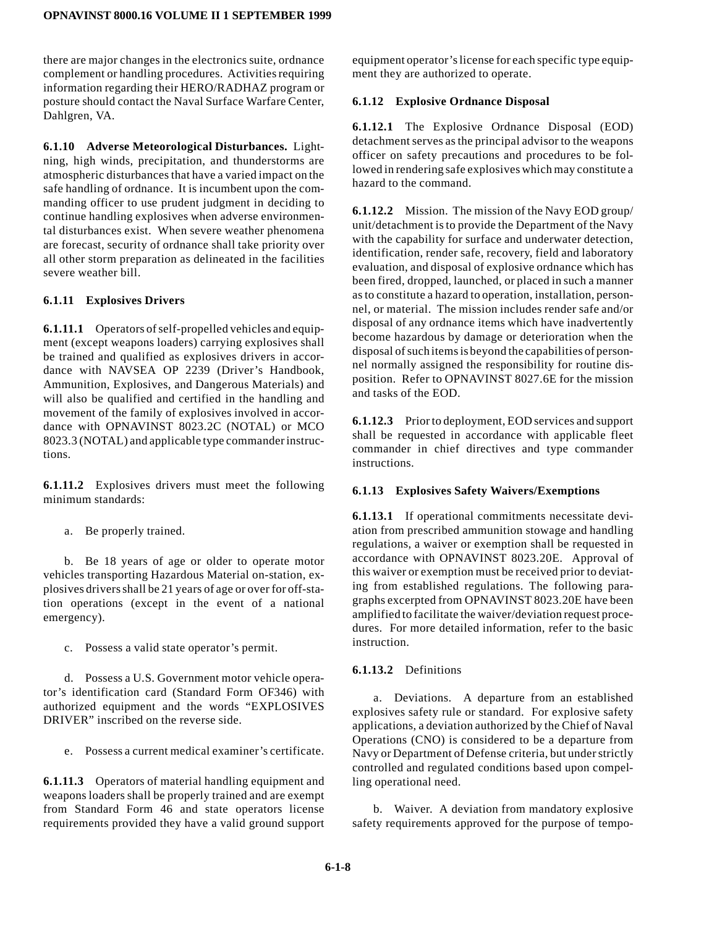there are major changes in the electronics suite, ordnance complement or handling procedures. Activities requiring information regarding their HERO/RADHAZ program or posture should contact the Naval Surface Warfare Center, Dahlgren, VA.

**6.1.10 Adverse Meteorological Disturbances.** Lightning, high winds, precipitation, and thunderstorms are atmospheric disturbances that have a varied impact on the safe handling of ordnance. It is incumbent upon the commanding officer to use prudent judgment in deciding to continue handling explosives when adverse environmental disturbances exist. When severe weather phenomena are forecast, security of ordnance shall take priority over all other storm preparation as delineated in the facilities severe weather bill.

## **6.1.11 Explosives Drivers**

**6.1.11.1** Operators of self-propelled vehicles and equipment (except weapons loaders) carrying explosives shall be trained and qualified as explosives drivers in accordance with NAVSEA OP 2239 (Driver's Handbook, Ammunition, Explosives, and Dangerous Materials) and will also be qualified and certified in the handling and movement of the family of explosives involved in accordance with OPNAVINST 8023.2C (NOTAL) or MCO 8023.3 (NOTAL) and applicable type commander instructions.

**6.1.11.2** Explosives drivers must meet the following minimum standards:

a. Be properly trained.

b. Be 18 years of age or older to operate motor vehicles transporting Hazardous Material on-station, explosives drivers shall be 21 years of age or over for off-station operations (except in the event of a national emergency).

c. Possess a valid state operator's permit.

d. Possess a U.S. Government motor vehicle operator's identification card (Standard Form OF346) with authorized equipment and the words "EXPLOSIVES DRIVER" inscribed on the reverse side.

e. Possess a current medical examiner's certificate.

**6.1.11.3** Operators of material handling equipment and weapons loaders shall be properly trained and are exempt from Standard Form 46 and state operators license requirements provided they have a valid ground support equipment operator's license for each specific type equipment they are authorized to operate.

## **6.1.12 Explosive Ordnance Disposal**

**6.1.12.1** The Explosive Ordnance Disposal (EOD) detachment serves as the principal advisor to the weapons officer on safety precautions and procedures to be followed in rendering safe explosives which may constitute a hazard to the command.

**6.1.12.2** Mission. The mission of the Navy EOD group/ unit/detachment is to provide the Department of the Navy with the capability for surface and underwater detection, identification, render safe, recovery, field and laboratory evaluation, and disposal of explosive ordnance which has been fired, dropped, launched, or placed in such a manner as to constitute a hazard to operation, installation, personnel, or material. The mission includes render safe and/or disposal of any ordnance items which have inadvertently become hazardous by damage or deterioration when the disposal of such items is beyond the capabilities of personnel normally assigned the responsibility for routine disposition. Refer to OPNAVINST 8027.6E for the mission and tasks of the EOD.

**6.1.12.3** Prior to deployment, EOD services and support shall be requested in accordance with applicable fleet commander in chief directives and type commander instructions.

# **6.1.13 Explosives Safety Waivers/Exemptions**

**6.1.13.1** If operational commitments necessitate deviation from prescribed ammunition stowage and handling regulations, a waiver or exemption shall be requested in accordance with OPNAVINST 8023.20E. Approval of this waiver or exemption must be received prior to deviating from established regulations. The following paragraphs excerpted from OPNAVINST 8023.20E have been amplified to facilitate the waiver/deviation request procedures. For more detailed information, refer to the basic instruction.

# **6.1.13.2** Definitions

a. Deviations. A departure from an established explosives safety rule or standard. For explosive safety applications, a deviation authorized by the Chief of Naval Operations (CNO) is considered to be a departure from Navy or Department of Defense criteria, but under strictly controlled and regulated conditions based upon compelling operational need.

b. Waiver. A deviation from mandatory explosive safety requirements approved for the purpose of tempo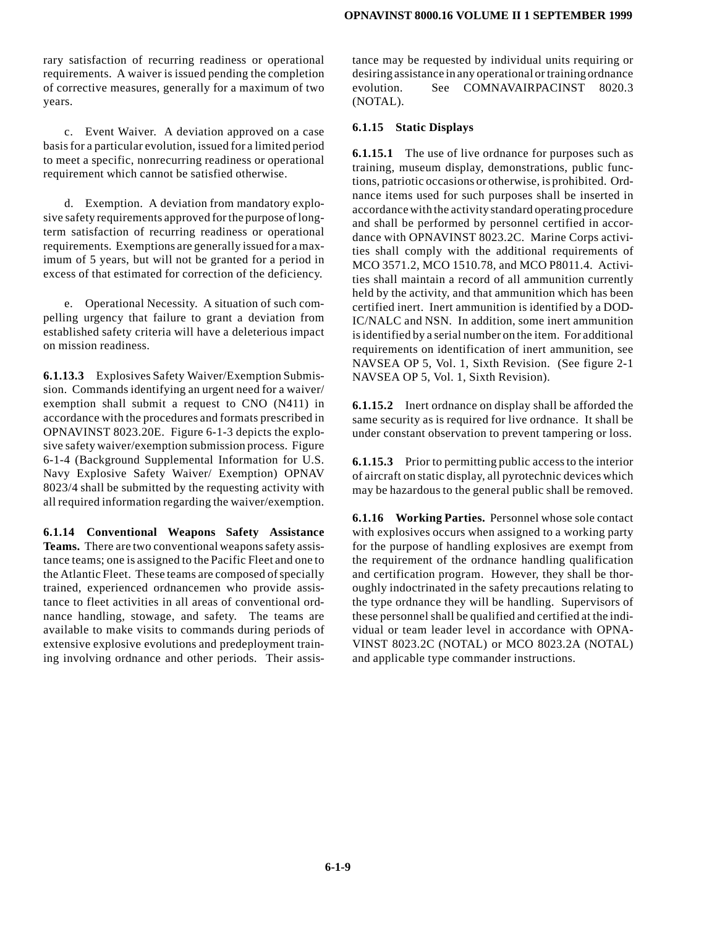rary satisfaction of recurring readiness or operational requirements. A waiver is issued pending the completion of corrective measures, generally for a maximum of two years.

c. Event Waiver. A deviation approved on a case basis for a particular evolution, issued for a limited period to meet a specific, nonrecurring readiness or operational requirement which cannot be satisfied otherwise.

d. Exemption. A deviation from mandatory explosive safety requirements approved for the purpose of longterm satisfaction of recurring readiness or operational requirements. Exemptions are generally issued for a maximum of 5 years, but will not be granted for a period in excess of that estimated for correction of the deficiency.

e. Operational Necessity. A situation of such compelling urgency that failure to grant a deviation from established safety criteria will have a deleterious impact on mission readiness.

**6.1.13.3** Explosives Safety Waiver/Exemption Submission. Commands identifying an urgent need for a waiver/ exemption shall submit a request to CNO (N411) in accordance with the procedures and formats prescribed in OPNAVINST 8023.20E. Figure 6-1-3 depicts the explosive safety waiver/exemption submission process. Figure 6-1-4 (Background Supplemental Information for U.S. Navy Explosive Safety Waiver/ Exemption) OPNAV 8023/4 shall be submitted by the requesting activity with all required information regarding the waiver/exemption.

**6.1.14 Conventional Weapons Safety Assistance Teams.** There are two conventional weapons safety assistance teams; one is assigned to the Pacific Fleet and one to the Atlantic Fleet. These teams are composed of specially trained, experienced ordnancemen who provide assistance to fleet activities in all areas of conventional ordnance handling, stowage, and safety. The teams are available to make visits to commands during periods of extensive explosive evolutions and predeployment training involving ordnance and other periods. Their assistance may be requested by individual units requiring or desiring assistance in any operational or training ordnance evolution. See COMNAVAIRPACINST 8020.3 (NOTAL).

#### **6.1.15 Static Displays**

**6.1.15.1** The use of live ordnance for purposes such as training, museum display, demonstrations, public functions, patriotic occasions or otherwise, is prohibited. Ordnance items used for such purposes shall be inserted in accordance with the activity standard operating procedure and shall be performed by personnel certified in accordance with OPNAVINST 8023.2C. Marine Corps activities shall comply with the additional requirements of MCO 3571.2, MCO 1510.78, and MCO P8011.4. Activities shall maintain a record of all ammunition currently held by the activity, and that ammunition which has been certified inert. Inert ammunition is identified by a DOD-IC/NALC and NSN. In addition, some inert ammunition is identified by a serial number on the item. For additional requirements on identification of inert ammunition, see NAVSEA OP 5, Vol. 1, Sixth Revision. (See figure 2-1 NAVSEA OP 5, Vol. 1, Sixth Revision).

**6.1.15.2** Inert ordnance on display shall be afforded the same security as is required for live ordnance. It shall be under constant observation to prevent tampering or loss.

**6.1.15.3** Prior to permitting public access to the interior of aircraft on static display, all pyrotechnic devices which may be hazardous to the general public shall be removed.

**6.1.16 Working Parties.** Personnel whose sole contact with explosives occurs when assigned to a working party for the purpose of handling explosives are exempt from the requirement of the ordnance handling qualification and certification program. However, they shall be thoroughly indoctrinated in the safety precautions relating to the type ordnance they will be handling. Supervisors of these personnel shall be qualified and certified at the individual or team leader level in accordance with OPNA-VINST 8023.2C (NOTAL) or MCO 8023.2A (NOTAL) and applicable type commander instructions.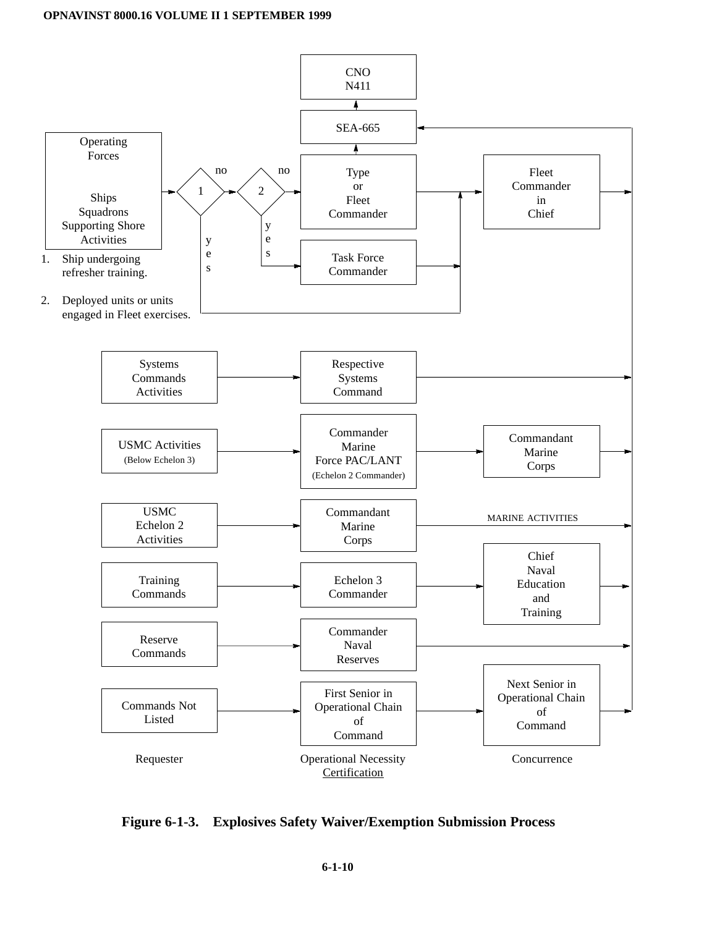

**Figure 6-1-3. Explosives Safety Waiver/Exemption Submission Process**